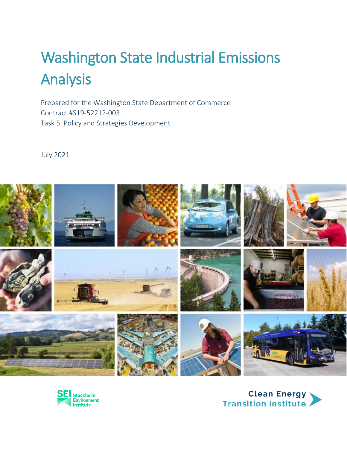# Washington State Industrial Emissions Analysis

Prepared for the Washington State Department of Commerce Contract #S19-52212-003 Task 5. Policy and Strategies Development

July 2021





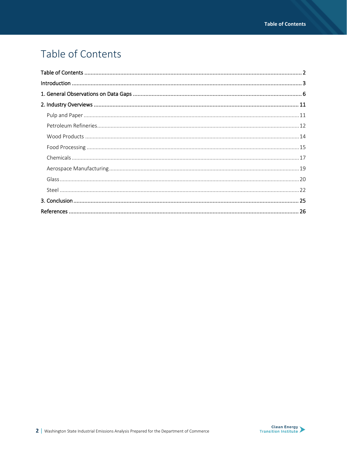# Table of Contents

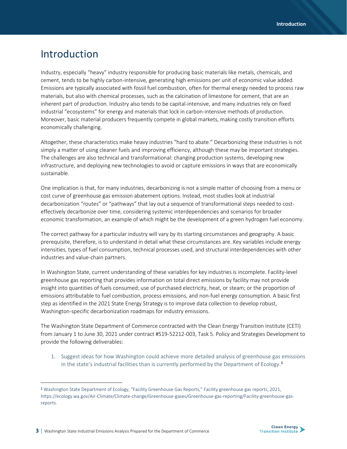# Introduction

Industry, especially "heavy" industry responsible for producing basic materials like metals, chemicals, and cement, tends to be highly carbon-intensive*,* generating high emissions per unit of economic value added. Emissions are typically associated with fossil fuel combustion, often for thermal energy needed to process raw materials, but also with chemical processes, such as the calcination of limestone for cement, that are an inherent part of production. Industry also tends to be capital-intensive, and many industries rely on fixed industrial "ecosystems" for energy and materials that lock in carbon-intensive methods of production. Moreover, basic material producers frequently compete in global markets, making costly transition efforts economically challenging.

Altogether, these characteristics make heavy industries "hard to abate." Decarbonizing these industries is not simply a matter of using cleaner fuels and improving efficiency, although these may be important strategies. The challenges are also technical and transformational: changing production systems, developing new infrastructure, and deploying new technologies to avoid or capture emissions in ways that are economically sustainable.

One implication is that, for many industries, decarbonizing is not a simple matter of choosing from a menu or cost curve of greenhouse gas emission abatement options. Instead, most studies look at industrial decarbonization "routes" or "pathways" that lay out a sequence of transformational steps needed to costeffectively decarbonize over time, considering systemic interdependencies and scenarios for broader economic transformation, an example of which might be the development of a green hydrogen fuel economy.

The correct pathway for a particular industry will vary by its starting circumstances and geography. A basic prerequisite, therefore, is to understand in detail what these circumstances are. Key variables include energy intensities, types of fuel consumption, technical processes used, and structural interdependencies with other industries and value-chain partners.

In Washington State, current understanding of these variables for key industries is incomplete. Facility-level greenhouse gas reporting that provides information on total direct emissions by facility may not provide insight into quantities of fuels consumed; use of purchased electricity, heat, or steam; or the proportion of emissions attributable to fuel combustion, process emissions, and non-fuel energy consumption. A basic first step as identified in the 2021 State Energy Strategy is to improve data collection to develop robust, Washington-specific decarbonization roadmaps for industry emissions.

The Washington State Department of Commerce contracted with the Clean Energy Transition Institute (CETI) from January 1 to June 30, 2021 under contract #S19-52212-003, Task 5. Policy and Strategies Development to provide the following deliverables:

1. Suggest ideas for how Washington could achieve more detailed analysis of greenhouse gas emissions in the state's industrial facilities than is currently performed by the Department of Ecology.**<sup>1</sup>**

<sup>1</sup> Washington State Department of Ecology, "Facility Greenhouse Gas Reports," Facility greenhouse gas reports, 2021, https://ecology.wa.gov/Air-Climate/Climate-change/Greenhouse-gases/Greenhouse-gas-reporting/Facility-greenhouse-gasreports.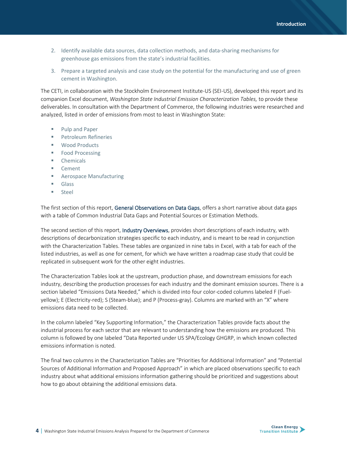- 2. Identify available data sources, data collection methods, and data-sharing mechanisms for greenhouse gas emissions from the state's industrial facilities.
- 3. Prepare a targeted analysis and case study on the potential for the manufacturing and use of green cement in Washington.

The CETI, in collaboration with the Stockholm Environment Institute-US (SEI-US), developed this report and its companion Excel document, *Washington State Industrial Emission Characterization Tables,* to provide these deliverables. In consultation with the Department of Commerce, the following industries were researched and analyzed, listed in order of emissions from most to least in Washington State:

- Pulp and Paper
- **•** Petroleum Refineries
- Wood Products
- Food Processing
- Chemicals
- Cement
- Aerospace Manufacturing
- Glass
- Steel

The first section of this report, General Observations on Data Gaps, offers a short narrative about data gaps with a table of Common Industrial Data Gaps and Potential Sources or Estimation Methods.

The second section of this report, Industry Overviews, provides short descriptions of each industry, with descriptions of decarbonization strategies specific to each industry, and is meant to be read in conjunction with the Characterization Tables. These tables are organized in nine tabs in Excel, with a tab for each of the listed industries, as well as one for cement, for which we have written a roadmap case study that could be replicated in subsequent work for the other eight industries.

The Characterization Tables look at the upstream, production phase, and downstream emissions for each industry, describing the production processes for each industry and the dominant emission sources. There is a section labeled "Emissions Data Needed," which is divided into four color-coded columns labeled F (Fuelyellow); E (Electricity-red); S (Steam-blue); and P (Process-gray). Columns are marked with an "X" where emissions data need to be collected.

In the column labeled "Key Supporting Information," the Characterization Tables provide facts about the industrial process for each sector that are relevant to understanding how the emissions are produced. This column is followed by one labeled "Data Reported under US SPA/Ecology GHGRP, in which known collected emissions information is noted.

The final two columns in the Characterization Tables are "Priorities for Additional Information" and "Potential Sources of Additional Information and Proposed Approach" in which are placed observations specific to each industry about what additional emissions information gathering should be prioritized and suggestions about how to go about obtaining the additional emissions data.

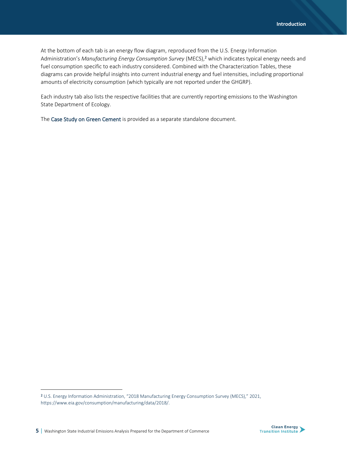At the bottom of each tab is an energy flow diagram, reproduced from the U.S. Energy Information Administration's *Manufacturing Energy Consumption Survey* (MECS),<sup>2</sup> which indicates typical energy needs and fuel consumption specific to each industry considered. Combined with the Characterization Tables, these diagrams can provide helpful insights into current industrial energy and fuel intensities, including proportional amounts of electricity consumption (which typically are not reported under the GHGRP).

Each industry tab also lists the respective facilities that are currently reporting emissions to the Washington State Department of Ecology.

The Case Study on Green Cement is provided as a separate standalone document.

<sup>2</sup> U.S. Energy Information Administration, "2018 Manufacturing Energy Consumption Survey (MECS)," 2021, https://www.eia.gov/consumption/manufacturing/data/2018/.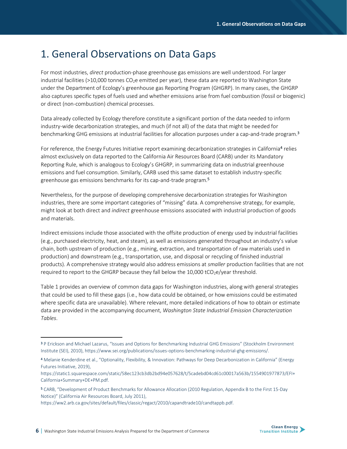# 1. General Observations on Data Gaps

For most industries, *direct* production-phase greenhouse gas emissions are well understood. For larger industrial facilities (>10,000 tonnes CO<sub>2</sub>e emitted per year), these data are reported to Washington State under the Department of Ecology's greenhouse gas Reporting Program (GHGRP). In many cases, the GHGRP also captures specific types of fuels used and whether emissions arise from fuel combustion (fossil or biogenic) or direct (non-combustion) chemical processes.

Data already collected by Ecology therefore constitute a significant portion of the data needed to inform industry-wide decarbonization strategies, and much (if not all) of the data that might be needed for benchmarking GHG emissions at industrial facilities for allocation purposes under a cap-and-trade program.<sup>3</sup>

For reference, the Energy Futures Initiative report examining decarbonization strategies in California<sup>4</sup> relies almost exclusively on data reported to the California Air Resources Board (CARB) under its Mandatory Reporting Rule, which is analogous to Ecology's GHGRP, in summarizing data on industrial greenhouse emissions and fuel consumption. Similarly, CARB used this same dataset to establish industry-specific greenhouse gas emissions benchmarks for its cap-and-trade program.<sup>5</sup>

Nevertheless, for the purpose of developing comprehensive decarbonization strategies for Washington industries, there are some important categories of "missing" data. A comprehensive strategy, for example, might look at both direct and *indirect* greenhouse emissions associated with industrial production of goods and materials.

Indirect emissions include those associated with the offsite production of energy used by industrial facilities (e.g., purchased electricity, heat, and steam), as well as emissions generated throughout an industry's value chain, both upstream of production (e.g., mining, extraction, and transportation of raw materials used in production) and downstream (e.g., transportation, use, and disposal or recycling of finished industrial products). A comprehensive strategy would also address emissions at *smaller* production facilities that are not required to report to the GHGRP because they fall below the 10,000 tCO<sub>2</sub>e/year threshold.

Table 1 provides an overview of common data gaps for Washington industries, along with general strategies that could be used to fill these gaps (i.e., how data could be obtained, or how emissions could be estimated where specific data are unavailable). Where relevant, more detailed indications of how to obtain or estimate data are provided in the accompanying document, *Washington State Industrial Emission Characterization Tables*.



<sup>3</sup> P Erickson and Michael Lazarus, "Issues and Options for Benchmarking Industrial GHG Emissions" (Stockholm Environment Institute (SEI), 2010), https://www.sei.org/publications/issues-options-benchmarking-industrial-ghg-emissions/.

<sup>4</sup> Melanie Kenderdine et al., "Optionality, Flexibility, & Innovation: Pathways for Deep Decarbonization in California" (Energy Futures Initiative, 2019),

https://static1.squarespace.com/static/58ec123cb3db2bd94e057628/t/5cadebd04cd61c00017a563b/1554901977873/EFI+ California+Summary+DE+PM.pdf.

<sup>5</sup> CARB, "Development of Product Benchmarks for Allowance Allocation (2010 Regulation, Appendix B to the First 15-Day Notice)" (California Air Resources Board, July 2011),

https://ww2.arb.ca.gov/sites/default/files/classic/regact/2010/capandtrade10/candtappb.pdf.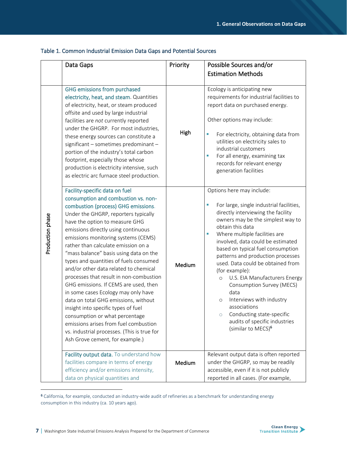|                  | Data Gaps                                                                                                                                                                                                                                                                                                                                                                                                                                                                                                                                                                                                                                                                                                                                                                                                       | Priority | Possible Sources and/or                                                                                                                                                                                                                                                                                                                                                                                                                                                                                                                                                                                                             |
|------------------|-----------------------------------------------------------------------------------------------------------------------------------------------------------------------------------------------------------------------------------------------------------------------------------------------------------------------------------------------------------------------------------------------------------------------------------------------------------------------------------------------------------------------------------------------------------------------------------------------------------------------------------------------------------------------------------------------------------------------------------------------------------------------------------------------------------------|----------|-------------------------------------------------------------------------------------------------------------------------------------------------------------------------------------------------------------------------------------------------------------------------------------------------------------------------------------------------------------------------------------------------------------------------------------------------------------------------------------------------------------------------------------------------------------------------------------------------------------------------------------|
|                  |                                                                                                                                                                                                                                                                                                                                                                                                                                                                                                                                                                                                                                                                                                                                                                                                                 |          | <b>Estimation Methods</b>                                                                                                                                                                                                                                                                                                                                                                                                                                                                                                                                                                                                           |
|                  | <b>GHG emissions from purchased</b><br>electricity, heat, and steam. Quantities<br>of electricity, heat, or steam produced<br>offsite and used by large industrial<br>facilities are not currently reported<br>under the GHGRP. For most industries,<br>these energy sources can constitute a<br>significant - sometimes predominant -<br>portion of the industry's total carbon<br>footprint, especially those whose<br>production is electricity intensive, such<br>as electric arc furnace steel production.                                                                                                                                                                                                                                                                                                 | High     | Ecology is anticipating new<br>requirements for industrial facilities to<br>report data on purchased energy.<br>Other options may include:<br>For electricity, obtaining data from<br>×<br>utilities on electricity sales to<br>industrial customers<br>For all energy, examining tax<br>records for relevant energy<br>generation facilities                                                                                                                                                                                                                                                                                       |
| Production phase | Facility-specific data on fuel<br>consumption and combustion vs. non-<br>combustion (process) GHG emissions.<br>Under the GHGRP, reporters typically<br>have the option to measure GHG<br>emissions directly using continuous<br>emissions monitoring systems (CEMS)<br>rather than calculate emission on a<br>"mass balance" basis using data on the<br>types and quantities of fuels consumed<br>and/or other data related to chemical<br>processes that result in non-combustion<br>GHG emissions. If CEMS are used, then<br>in some cases Ecology may only have<br>data on total GHG emissions, without<br>insight into specific types of fuel<br>consumption or what percentage<br>emissions arises from fuel combustion<br>vs. industrial processes. (This is true for<br>Ash Grove cement, for example.) | Medium   | Options here may include:<br>For large, single industrial facilities,<br>directly interviewing the facility<br>owners may be the simplest way to<br>obtain this data<br>Where multiple facilities are<br>×<br>involved, data could be estimated<br>based on typical fuel consumption<br>patterns and production processes<br>used. Data could be obtained from<br>(for example):<br>U.S. EIA Manufacturers Energy<br>$\circ$<br>Consumption Survey (MECS)<br>data<br>Interviews with industry<br>$\circ$<br>associations<br>Conducting state-specific<br>$\circ$<br>audits of specific industries<br>(similar to MECS) <sup>6</sup> |
|                  | Facility output data. To understand how<br>facilities compare in terms of energy<br>efficiency and/or emissions intensity,<br>data on physical quantities and                                                                                                                                                                                                                                                                                                                                                                                                                                                                                                                                                                                                                                                   | Medium   | Relevant output data is often reported<br>under the GHGRP, so may be readily<br>accessible, even if it is not publicly<br>reported in all cases. (For example,                                                                                                                                                                                                                                                                                                                                                                                                                                                                      |

#### Table 1. Common Industrial Emission Data Gaps and Potential Sources

<sup>6</sup> California, for example, conducted an industry-wide audit of refineries as a benchmark for understanding energy consumption in this industry (ca. 10 years ago).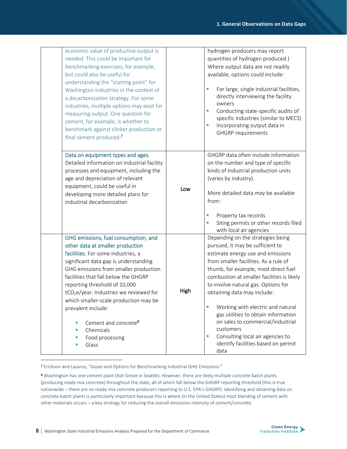| economic value of productive output is<br>needed. This could be important for<br>benchmarking exercises, for example,<br>but could also be useful for<br>understanding the "starting point" for<br>Washington industries in the context of<br>a decarbonization strategy. For some<br>industries, multiple options may exist for<br>measuring output. One question for<br>cement, for example, is whether to<br>benchmark against clinker production or<br>final cement produced. <sup>7</sup> |      | hydrogen producers may report<br>quantities of hydrogen produced.)<br>Where output data are not readily<br>available, options could include:<br>For large, single industrial facilities,<br>directly interviewing the facility<br>owners<br>Conducting state-specific audits of<br>×<br>specific industries (similar to MECS)<br>Incorporating output data in<br><b>GHGRP</b> requirements                                                                                                                                       |
|------------------------------------------------------------------------------------------------------------------------------------------------------------------------------------------------------------------------------------------------------------------------------------------------------------------------------------------------------------------------------------------------------------------------------------------------------------------------------------------------|------|----------------------------------------------------------------------------------------------------------------------------------------------------------------------------------------------------------------------------------------------------------------------------------------------------------------------------------------------------------------------------------------------------------------------------------------------------------------------------------------------------------------------------------|
| Data on equipment types and ages.<br>Detailed information on industrial facility<br>processes and equipment, including the<br>age and depreciation of relevant<br>equipment, could be useful in<br>developing more detailed plans for<br>industrial decarbonization                                                                                                                                                                                                                            | Low  | GHGRP data often include information<br>on the number and type of specific<br>kinds of industrial production units<br>(varies by industry).<br>More detailed data may be available<br>from:<br>Property tax records<br>Siting permits or other records filed<br>with local air agencies                                                                                                                                                                                                                                          |
| GHG emissions, fuel consumption, and<br>other data at smaller production<br>facilities. For some industries, a<br>significant data gap is understanding<br>GHG emissions from smaller production<br>facilities that fall below the GHGRP<br>reporting threshold of 10,000<br>tCO <sub>2</sub> e/year. Industries we reviewed for<br>which smaller-scale production may be<br>prevalent include:<br>Cement and concrete <sup>8</sup><br>Chemicals<br>п<br>Food processing<br>Glass<br>п         | High | Depending on the strategies being<br>pursued, it may be sufficient to<br>estimate energy use and emissions<br>from smaller facilities. As a rule of<br>thumb, for example, most direct fuel<br>combustion at smaller facilities is likely<br>to involve natural gas. Options for<br>obtaining data may include:<br>Working with electric and natural<br>gas utilities to obtain information<br>on sales to commercial/industrial<br>customers<br>Consulting local air agencies to<br>identify facilities based on permit<br>data |

<sup>7</sup> Erickson and Lazarus, "Issues and Options for Benchmarking Industrial GHG Emissions."

<sup>8</sup> Washington has one cement plant (Ash Grove in Seattle). However, there are likely multiple concrete batch plants (producing ready-mix concrete) throughout the state, all of which fall below the GHGRP reporting threshold (this is true nationwide – there are no ready-mix concrete producers reporting to U.S. EPA's GHGRP). Identifying and obtaining data on concrete batch plants is particularly important because this is where (in the United States) most blending of cement with other materials occurs – a key strategy for reducing the overall emissions intensity of cement/concrete.

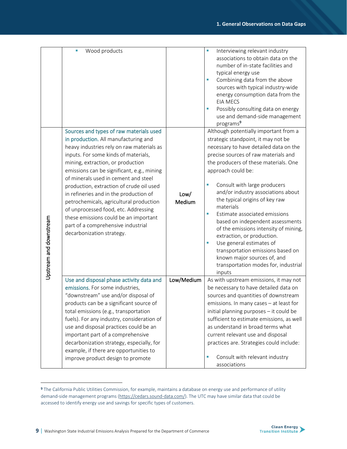|                         | Wood products<br>I.<br>Sources and types of raw materials used<br>in production. All manufacturing and<br>heavy industries rely on raw materials as |            | Interviewing relevant industry<br>٠<br>associations to obtain data on the<br>number of in-state facilities and<br>typical energy use<br>Combining data from the above<br>٠<br>sources with typical industry-wide<br>energy consumption data from the<br><b>EIA MECS</b><br>Possibly consulting data on energy<br>п<br>use and demand-side management<br>programs <sup>9</sup><br>Although potentially important from a<br>strategic standpoint, it may not be<br>necessary to have detailed data on the |
|-------------------------|-----------------------------------------------------------------------------------------------------------------------------------------------------|------------|---------------------------------------------------------------------------------------------------------------------------------------------------------------------------------------------------------------------------------------------------------------------------------------------------------------------------------------------------------------------------------------------------------------------------------------------------------------------------------------------------------|
|                         | inputs. For some kinds of materials,                                                                                                                |            | precise sources of raw materials and                                                                                                                                                                                                                                                                                                                                                                                                                                                                    |
|                         | mining, extraction, or production                                                                                                                   |            | the producers of these materials. One                                                                                                                                                                                                                                                                                                                                                                                                                                                                   |
|                         | emissions can be significant, e.g., mining<br>of minerals used in cement and steel                                                                  |            | approach could be:                                                                                                                                                                                                                                                                                                                                                                                                                                                                                      |
|                         |                                                                                                                                                     |            |                                                                                                                                                                                                                                                                                                                                                                                                                                                                                                         |
|                         | production, extraction of crude oil used                                                                                                            |            | Consult with large producers                                                                                                                                                                                                                                                                                                                                                                                                                                                                            |
|                         | in refineries and in the production of                                                                                                              | Low/       | and/or industry associations about                                                                                                                                                                                                                                                                                                                                                                                                                                                                      |
|                         | petrochemicals, agricultural production                                                                                                             | Medium     | the typical origins of key raw<br>materials                                                                                                                                                                                                                                                                                                                                                                                                                                                             |
|                         | of unprocessed food, etc. Addressing                                                                                                                |            | Estimate associated emissions<br>٠                                                                                                                                                                                                                                                                                                                                                                                                                                                                      |
|                         | these emissions could be an important<br>part of a comprehensive industrial                                                                         |            | based on independent assessments                                                                                                                                                                                                                                                                                                                                                                                                                                                                        |
|                         | decarbonization strategy.                                                                                                                           |            | of the emissions intensity of mining,                                                                                                                                                                                                                                                                                                                                                                                                                                                                   |
|                         |                                                                                                                                                     |            | extraction, or production.                                                                                                                                                                                                                                                                                                                                                                                                                                                                              |
|                         |                                                                                                                                                     |            | Use general estimates of<br>transportation emissions based on                                                                                                                                                                                                                                                                                                                                                                                                                                           |
|                         |                                                                                                                                                     |            | known major sources of, and                                                                                                                                                                                                                                                                                                                                                                                                                                                                             |
|                         |                                                                                                                                                     |            | transportation modes for, industrial                                                                                                                                                                                                                                                                                                                                                                                                                                                                    |
| Upstream and downstream |                                                                                                                                                     |            | inputs                                                                                                                                                                                                                                                                                                                                                                                                                                                                                                  |
|                         | Use and disposal phase activity data and                                                                                                            | Low/Medium | As with upstream emissions, it may not                                                                                                                                                                                                                                                                                                                                                                                                                                                                  |
|                         | emissions. For some industries,<br>"downstream" use and/or disposal of                                                                              |            | be necessary to have detailed data on<br>sources and quantities of downstream                                                                                                                                                                                                                                                                                                                                                                                                                           |
|                         |                                                                                                                                                     |            | emissions. In many cases - at least for                                                                                                                                                                                                                                                                                                                                                                                                                                                                 |
|                         | products can be a significant source of<br>total emissions (e.g., transportation                                                                    |            | initial planning purposes - it could be                                                                                                                                                                                                                                                                                                                                                                                                                                                                 |
|                         | fuels). For any industry, consideration of                                                                                                          |            | sufficient to estimate emissions, as well                                                                                                                                                                                                                                                                                                                                                                                                                                                               |
|                         | use and disposal practices could be an                                                                                                              |            | as understand in broad terms what                                                                                                                                                                                                                                                                                                                                                                                                                                                                       |
|                         | important part of a comprehensive                                                                                                                   |            | current relevant use and disposal                                                                                                                                                                                                                                                                                                                                                                                                                                                                       |
|                         | decarbonization strategy, especially, for                                                                                                           |            | practices are. Strategies could include:                                                                                                                                                                                                                                                                                                                                                                                                                                                                |
|                         | example, if there are opportunities to                                                                                                              |            |                                                                                                                                                                                                                                                                                                                                                                                                                                                                                                         |
|                         | improve product design to promote                                                                                                                   |            | Consult with relevant industry<br>٠                                                                                                                                                                                                                                                                                                                                                                                                                                                                     |
|                         |                                                                                                                                                     |            | associations                                                                                                                                                                                                                                                                                                                                                                                                                                                                                            |

<sup>9</sup> The California Public Utilities Commission, for example, maintains a database on energy use and performance of utility demand-side management programs [\(https://cedars.sound-data.com/\)](https://cedars.sound-data.com/). The UTC may have similar data that could be accessed to identify energy use and savings for specific types of customers.

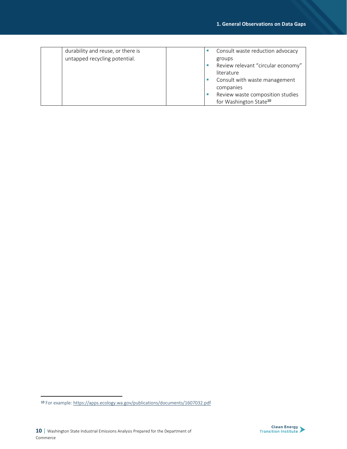| durability and reuse, or there is |  | Consult waste reduction advocacy   |
|-----------------------------------|--|------------------------------------|
| untapped recycling potential.     |  | groups                             |
|                                   |  | Review relevant "circular economy" |
|                                   |  | literature                         |
|                                   |  | Consult with waste management      |
|                                   |  | companies                          |
|                                   |  | Review waste composition studies   |
|                                   |  | for Washington State <sup>10</sup> |



<sup>10</sup> For example[: https://apps.ecology.wa.gov/publications/documents/1607032.pdf](https://apps.ecology.wa.gov/publications/documents/1607032.pdf)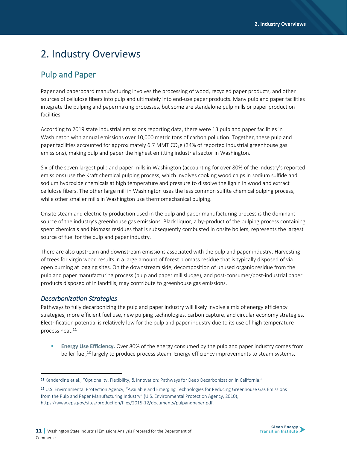# 2. Industry Overviews

# Pulp and Paper

Paper and paperboard manufacturing involves the processing of wood, recycled paper products, and other sources of cellulose fibers into pulp and ultimately into end-use paper products. Many pulp and paper facilities integrate the pulping and papermaking processes, but some are standalone pulp mills or paper production facilities.

According to 2019 state industrial emissions reporting data, there were 13 pulp and paper facilities in Washington with annual emissions over 10,000 metric tons of carbon pollution. Together, these pulp and paper facilities accounted for approximately 6.7 MMT CO<sub>2</sub>e (34% of reported industrial greenhouse gas emissions), making pulp and paper the highest emitting industrial sector in Washington.

Six of the seven largest pulp and paper mills in Washington (accounting for over 80% of the industry's reported emissions) use the Kraft chemical pulping process, which involves cooking wood chips in sodium sulfide and sodium hydroxide chemicals at high temperature and pressure to dissolve the lignin in wood and extract cellulose fibers. The other large mill in Washington uses the less common sulfite chemical pulping process, while other smaller mills in Washington use thermomechanical pulping.

Onsite steam and electricity production used in the pulp and paper manufacturing process is the dominant source of the industry's greenhouse gas emissions. Black liquor, a by-product of the pulping process containing spent chemicals and biomass residues that is subsequently combusted in onsite boilers, represents the largest source of fuel for the pulp and paper industry.

There are also upstream and downstream emissions associated with the pulp and paper industry. Harvesting of trees for virgin wood results in a large amount of forest biomass residue that is typically disposed of via open burning at logging sites. On the downstream side, decomposition of unused organic residue from the pulp and paper manufacturing process (pulp and paper mill sludge), and post-consumer/post-industrial paper products disposed of in landfills, may contribute to greenhouse gas emissions.

#### *Decarbonization Strategies*

Pathways to fully decarbonizing the pulp and paper industry will likely involve a mix of energy efficiency strategies, more efficient fuel use, new pulping technologies, carbon capture, and circular economy strategies. Electrification potential is relatively low for the pulp and paper industry due to its use of high temperature process heat.<sup>11</sup>

Energy Use Efficiency. Over 80% of the energy consumed by the pulp and paper industry comes from boiler fuel,**<sup>12</sup>** largely to produce process steam. Energy efficiency improvements to steam systems,



<sup>11</sup> Kenderdine et al., "Optionality, Flexibility, & Innovation: Pathways for Deep Decarbonization in California."

<sup>12</sup> U.S. Environmental Protection Agency, "Available and Emerging Technologies for Reducing Greenhouse Gas Emissions from the Pulp and Paper Manufacturing Industry" (U.S. Environmental Protection Agency, 2010), https://www.epa.gov/sites/production/files/2015-12/documents/pulpandpaper.pdf.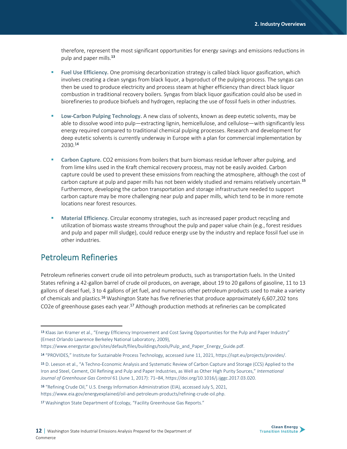therefore, represent the most significant opportunities for energy savings and emissions reductions in pulp and paper mills.**<sup>13</sup>**

- **Fuel Use Efficiency.** One promising decarbonization strategy is called black liquor gasification, which involves creating a clean syngas from black liquor, a byproduct of the pulping process. The syngas can then be used to produce electricity and process steam at higher efficiency than direct black liquor combustion in traditional recovery boilers. Syngas from black liquor gasification could also be used in biorefineries to produce biofuels and hydrogen, replacing the use of fossil fuels in other industries.
- **Low-Carbon Pulping Technology.** A new class of solvents, known as deep eutetic solvents, may be able to dissolve wood into pulp—extracting lignin, hemicellulose, and cellulose—with significantly less energy required compared to traditional chemical pulping processes. Research and development for deep eutetic solvents is currently underway in Europe with a plan for commercial implementation by 2030.<sup>14</sup>
- **EXECO 2** Carbon Capture. CO2 emissions from boilers that burn biomass residue leftover after pulping, and from lime kilns used in the Kraft chemical recovery process, may not be easily avoided. Carbon capture could be used to prevent these emissions from reaching the atmosphere, although the cost of carbon capture at pulp and paper mills has not been widely studied and remains relatively uncertain.**<sup>15</sup>** Furthermore, developing the carbon transportation and storage infrastructure needed to support carbon capture may be more challenging near pulp and paper mills, which tend to be in more remote locations near forest resources.
- Material Efficiency. Circular economy strategies, such as increased paper product recycling and utilization of biomass waste streams throughout the pulp and paper value chain (e.g., forest residues and pulp and paper mill sludge), could reduce energy use by the industry and replace fossil fuel use in other industries.

### Petroleum Refineries

Petroleum refineries convert crude oil into petroleum products, such as transportation fuels. In the United States refining a 42-gallon barrel of crude oil produces, on average, about 19 to 20 gallons of gasoline, 11 to 13 gallons of diesel fuel, 3 to 4 gallons of jet fuel, and numerous other petroleum products used to make a variety of chemicals and plastics.<sup>16</sup> Washington State has five refineries that produce approximately 6,607,202 tons CO2e of greenhouse gases each year.<sup>17</sup> Although production methods at refineries can be complicated



<sup>13</sup> Klaas Jan Kramer et al., "Energy Efficiency Improvement and Cost Saving Opportunities for the Pulp and Paper Industry" (Ernest Orlando Lawrence Berkeley National Laboratory, 2009),

https://www.energystar.gov/sites/default/files/buildings/tools/Pulp\_and\_Paper\_Energy\_Guide.pdf.

<sup>14</sup> "PROVIDES," Institute for Sustainable Process Technology, accessed June 11, 2021, https://ispt.eu/projects/provides/.

<sup>15</sup> D. Leeson et al., "A Techno-Economic Analysis and Systematic Review of Carbon Capture and Storage (CCS) Applied to the Iron and Steel, Cement, Oil Refining and Pulp and Paper Industries, as Well as Other High Purity Sources," *International Journal of Greenhouse Gas Control* 61 (June 1, 2017): 71–84, https://doi.org/10.1016/j.ijggc.2017.03.020.

<sup>16</sup> "Refining Crude Oil," U.S. Energy Information Administration (EIA), accessed July 5, 2021, https://www.eia.gov/energyexplained/oil-and-petroleum-products/refining-crude-oil.php.

<sup>17</sup> Washington State Department of Ecology, "Facility Greenhouse Gas Reports."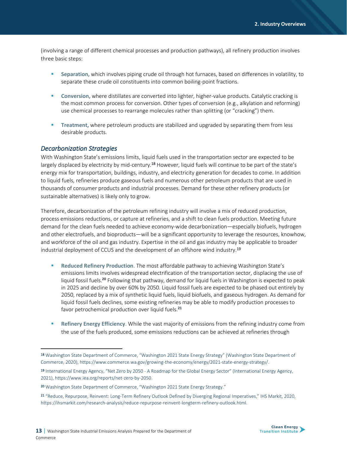(involving a range of different chemical processes and production pathways), all refinery production involves three basic steps:

- **Separation,** which involves piping crude oil through hot furnaces, based on differences in volatility, to separate these crude oil constituents into common boiling-point fractions.
- **Conversion,** where distillates are converted into lighter, higher-value products. Catalytic cracking is the most common process for conversion. Other types of conversion (e.g., alkylation and reforming) use chemical processes to rearrange molecules rather than splitting (or "cracking") them.
- **Treatment,** where petroleum products are stabilized and upgraded by separating them from less desirable products.

#### *Decarbonization Strategies*

With Washington State's emissions limits, liquid fuels used in the transportation sector are expected to be largely displaced by electricity by mid-century.<sup>18</sup> However, liquid fuels will continue to be part of the state's energy mix for transportation, buildings, industry, and electricity generation for decades to come. In addition to liquid fuels, refineries produce gaseous fuels and numerous other petroleum products that are used in thousands of consumer products and industrial processes. Demand for these other refinery products (or sustainable alternatives) is likely only to grow.

Therefore, decarbonization of the petroleum refining industry will involve a mix of reduced production, process emissions reductions, or capture at refineries, and a shift to clean fuels production. Meeting future demand for the clean fuels needed to achieve economy-wide decarbonization—especially biofuels, hydrogen and other electrofuels, and bioproducts—will be a significant opportunity to leverage the resources, knowhow, and workforce of the oil and gas industry. Expertise in the oil and gas industry may be applicable to broader industrial deployment of CCUS and the development of an offshore wind industry.<sup>19</sup>

- **Reduced Refinery Production**. The most affordable pathway to achieving Washington State's emissions limits involves widespread electrification of the transportation sector, displacing the use of liquid fossil fuels.**<sup>20</sup>** Following that pathway, demand for liquid fuels in Washington is expected to peak in 2025 and decline by over 60% by 2050. Liquid fossil fuels are expected to be phased out entirely by 2050, replaced by a mix of synthetic liquid fuels, liquid biofuels, and gaseous hydrogen. As demand for liquid fossil fuels declines, some existing refineries may be able to modify production processes to favor petrochemical production over liquid fuels.**<sup>21</sup>**
- Refinery Energy Efficiency. While the vast majority of emissions from the refining industry come from the use of the fuels produced, some emissions reductions can be achieved at refineries through



<sup>18</sup> Washington State Department of Commerce, "Washington 2021 State Energy Strategy" (Washington State Department of Commerce, 2020), https://www.commerce.wa.gov/growing-the-economy/energy/2021-state-energy-strategy/.

<sup>19</sup> International Energy Agency, "Net Zero by 2050 - A Roadmap for the Global Energy Sector" (International Energy Agency, 2021), https://www.iea.org/reports/net-zero-by-2050.

<sup>20</sup> Washington State Department of Commerce, "Washington 2021 State Energy Strategy."

<sup>21</sup> "Reduce, Repurpose, Reinvent: Long-Term Refinery Outlook Defined by Diverging Regional Imperatives," IHS Markit, 2020, https://ihsmarkit.com/research-analysis/reduce-repurpose-reinvent-longterm-refinery-outlook.html.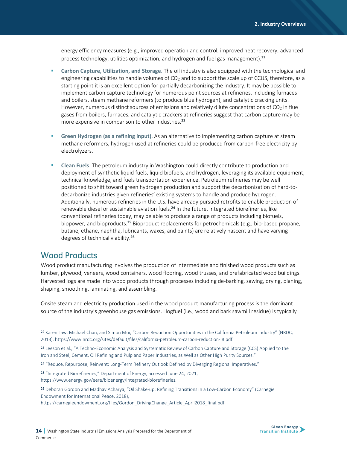energy efficiency measures (e.g., improved operation and control, improved heat recovery, advanced process technology, utilities optimization, and hydrogen and fuel gas management).**<sup>22</sup>**

- **Carbon Capture, Utilization, and Storage**. The oil industry is also equipped with the technological and engineering capabilities to handle volumes of  $CO<sub>2</sub>$  and to support the scale up of CCUS, therefore, as a starting point it is an excellent option for partially decarbonizing the industry. It may be possible to implement carbon capture technology for numerous point sources at refineries, including furnaces and boilers, steam methane reformers (to produce blue hydrogen), and catalytic cracking units. However, numerous distinct sources of emissions and relatively dilute concentrations of  $CO<sub>2</sub>$  in flue gases from boilers, furnaces, and catalytic crackers at refineries suggest that carbon capture may be more expensive in comparison to other industries.**<sup>23</sup>**
- **Green Hydrogen (as a refining input)**. As an alternative to implementing carbon capture at steam methane reformers, hydrogen used at refineries could be produced from carbon-free electricity by electrolyzers.
- **Clean Fuels**. The petroleum industry in Washington could directly contribute to production and deployment of synthetic liquid fuels, liquid biofuels, and hydrogen, leveraging its available equipment, technical knowledge, and fuels transportation experience. Petroleum refineries may be well positioned to shift toward green hydrogen production and support the decarbonization of hard-todecarbonize industries given refineries' existing systems to handle and produce hydrogen. Additionally, numerous refineries in the U.S. have already pursued retrofits to enable production of renewable diesel or sustainable aviation fuels.**<sup>24</sup>** In the future, integrated biorefineries, like conventional refineries today, may be able to produce a range of products including biofuels, biopower, and bioproducts.**<sup>25</sup>** Bioproduct replacements for petrochemicals (e.g., bio-based propane, butane, ethane, naphtha, lubricants, waxes, and paints) are relatively nascent and have varying degrees of technical viability.**<sup>26</sup>**

### Wood Products

Wood product manufacturing involves the production of intermediate and finished wood products such as lumber, plywood, veneers, wood containers, wood flooring, wood trusses, and prefabricated wood buildings. Harvested logs are made into wood products through processes including de-barking, sawing, drying, planing, shaping, smoothing, laminating, and assembling.

Onsite steam and electricity production used in the wood product manufacturing process is the dominant source of the industry's greenhouse gas emissions. Hogfuel (i.e., wood and bark sawmill residue) is typically

<sup>25</sup> "Integrated Biorefineries," Department of Energy, accessed June 24, 2021, https://www.energy.gov/eere/bioenergy/integrated-biorefineries.



<sup>22</sup> Karen Law, Michael Chan, and Simon Mui, "Carbon Reduction Opportunities in the California Petroleum Industry" (NRDC, 2013), https://www.nrdc.org/sites/default/files/california-petroleum-carbon-reduction-IB.pdf.

<sup>23</sup> Leeson et al., "A Techno-Economic Analysis and Systematic Review of Carbon Capture and Storage (CCS) Applied to the Iron and Steel, Cement, Oil Refining and Pulp and Paper Industries, as Well as Other High Purity Sources."

<sup>24</sup> "Reduce, Repurpose, Reinvent: Long-Term Refinery Outlook Defined by Diverging Regional Imperatives."

<sup>26</sup> Deborah Gordon and Madhav Acharya, "Oil Shake-up: Refining Transitions in a Low-Carbon Economy" (Carnegie Endowment for International Peace, 2018),

https://carnegieendowment.org/files/Gordon\_DrivingChange\_Article\_April2018\_final.pdf.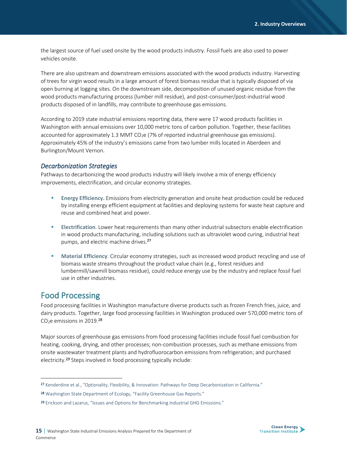the largest source of fuel used onsite by the wood products industry. Fossil fuels are also used to power vehicles onsite.

There are also upstream and downstream emissions associated with the wood products industry. Harvesting of trees for virgin wood results in a large amount of forest biomass residue that is typically disposed of via open burning at logging sites. On the downstream side, decomposition of unused organic residue from the wood products manufacturing process (lumber mill residue), and post-consumer/post-industrial wood products disposed of in landfills, may contribute to greenhouse gas emissions.

According to 2019 state industrial emissions reporting data, there were 17 wood products facilities in Washington with annual emissions over 10,000 metric tons of carbon pollution. Together, these facilities accounted for approximately 1.3 MMT CO<sub>2</sub>e (7% of reported industrial greenhouse gas emissions). Approximately 45% of the industry's emissions came from two lumber mills located in Aberdeen and Burlington/Mount Vernon.

#### *Decarbonization Strategies*

Pathways to decarbonizing the wood products industry will likely involve a mix of energy efficiency improvements, electrification, and circular economy strategies.

- **Energy Efficiency.** Emissions from electricity generation and onsite heat production could be reduced by installing energy efficient equipment at facilities and deploying systems for waste heat capture and reuse and combined heat and power.
- **Electrification**. Lower heat requirements than many other industrial subsectors enable electrification in wood products manufacturing, including solutions such as ultraviolet wood curing, industrial heat pumps, and electric machine drives.**<sup>27</sup>**
- **Material Efficiency**. Circular economy strategies, such as increased wood product recycling and use of biomass waste streams throughout the product value chain (e.g., forest residues and lumbermill/sawmill biomass residue), could reduce energy use by the industry and replace fossil fuel use in other industries.

### Food Processing

Food processing facilities in Washington manufacture diverse products such as frozen French fries, juice, and dairy products. Together, large food processing facilities in Washington produced over 570,000 metric tons of CO<sub>2</sub>e emissions in 2019.<sup>28</sup>

Major sources of greenhouse gas emissions from food processing facilities include fossil fuel combustion for heating, cooking, drying, and other processes; non-combustion processes, such as methane emissions from onsite wastewater treatment plants and hydrofluorocarbon emissions from refrigeration; and purchased electricity.<sup>29</sup> Steps involved in food processing typically include:



<sup>27</sup> Kenderdine et al., "Optionality, Flexibility, & Innovation: Pathways for Deep Decarbonization in California."

<sup>28</sup> Washington State Department of Ecology, "Facility Greenhouse Gas Reports."

<sup>29</sup> Erickson and Lazarus, "Issues and Options for Benchmarking Industrial GHG Emissions."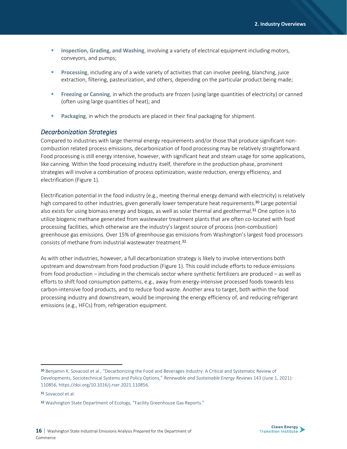- **EXEDENTIFY Inspection, Grading, and Washing**, involving a variety of electrical equipment including motors, conveyors, and pumps;
- **Processing**, including any of a wide variety of activities that can involve peeling, blanching, juice extraction, filtering, pasteurization, and others, depending on the particular product being made;
- **EXECTED Freezing or Canning**, in which the products are frozen (using large quantities of electricity) or canned (often using large quantities of heat); and
- Packaging, in which the products are placed in their final packaging for shipment.

#### *Decarbonization Strategies*

Compared to industries with large thermal energy requirements and/or those that produce significant noncombustion related process emissions, decarbonization of food processing may be relatively straightforward. Food processing is still energy intensive, however, with significant heat and steam usage for some applications, like canning. Within the food processing industry itself, therefore in the production phase, prominent strategies will involve a combination of process optimization, waste reduction, energy efficiency, and electrification (Figure 1).

Electrification potential in the food industry (e.g., meeting thermal energy demand with electricity) is relatively high compared to other industries, given generally lower temperature heat requirements.<sup>30</sup> Large potential also exists for using biomass energy and biogas, as well as solar thermal and geothermal.<sup>31</sup> One option is to utilize biogenic methane generated from wastewater treatment plants that are often co-located with food processing facilities, which otherwise are the industry's largest source of process (non-combustion) greenhouse gas emissions. Over 15% of greenhouse gas emissions from Washington's largest food processors consists of methane from industrial wastewater treatment.<sup>32</sup>

As with other industries, however, a full decarbonization strategy is likely to involve interventions both upstream and downstream from food production (Figure 1). This could include efforts to reduce emissions from food production – including in the chemicals sector where synthetic fertilizers are produced – as well as efforts to shift food consumption patterns, e.g., away from energy-intensive processed foods towards less carbon-intensive food products, and to reduce food waste. Another area to target, both within the food processing industry and downstream, would be improving the energy efficiency of, and reducing refrigerant emissions (e.g., HFCs) from, refrigeration equipment.

<sup>30</sup> Benjamin K. Sovacool et al., "Decarbonizing the Food and Beverages Industry: A Critical and Systematic Review of Developments, Sociotechnical Systems and Policy Options," *Renewable and Sustainable Energy Reviews* 143 (June 1, 2021): 110856, https://doi.org/10.1016/j.rser.2021.110856.

<sup>31</sup> Sovacool et al.

<sup>32</sup> Washington State Department of Ecology, "Facility Greenhouse Gas Reports."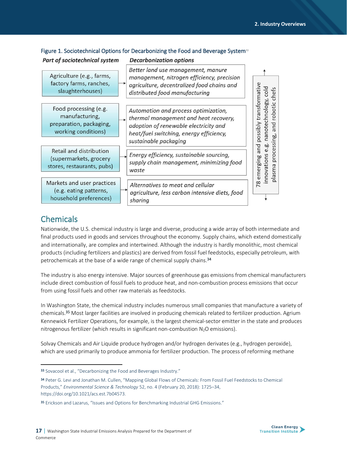| Part of sociotechnical system                                                             | <b>Decarbonization options</b>                                                                                                                                                             |                                                                            |
|-------------------------------------------------------------------------------------------|--------------------------------------------------------------------------------------------------------------------------------------------------------------------------------------------|----------------------------------------------------------------------------|
| Agriculture (e.g., farms,<br>factory farms, ranches,<br>slaughterhouses)                  | Better land use management, manure<br>management, nitrogen efficiency, precision<br>agriculture, decentralized food chains and<br>distributed food manufacturing                           | cold<br>hefs                                                               |
| Food processing (e.g.<br>manufacturing,<br>preparation, packaging,<br>working conditions) | Automation and process optimization,<br>thermal management and heat recovery,<br>adoption of renewable electricity and<br>heat/fuel switching, energy efficiency,<br>sustainable packaging | transformativ<br>ology,<br>robotic<br>notechn<br>and<br>possibly<br>ssing, |
| Retail and distribution<br>(supermarkets, grocery<br>stores, restaurants, pubs)           | Energy efficiency, sustainable sourcing,<br>supply chain management, minimizing food<br>waste                                                                                              | and<br>œ<br>proces<br>novations<br>emerging<br>plasma                      |
| Markets and user practices<br>(e.g. eating patterns,<br>household preferences)            | Alternatives to meat and cellular<br>agriculture, less carbon intensive diets, food<br>sharing                                                                                             | 78                                                                         |

#### Figure 1. Sociotechnical Options for Decarbonizing the Food and Beverage System<sup>33</sup>

## **Chemicals**

Nationwide, the U.S. chemical industry is large and diverse, producing a wide array of both intermediate and final products used in goods and services throughout the economy. Supply chains, which extend domestically and internationally, are complex and intertwined. Although the industry is hardly monolithic, most chemical products (including fertilizers and plastics) are derived from fossil fuel feedstocks, especially petroleum, with petrochemicals at the base of a wide range of chemical supply chains. 34

The industry is also energy intensive. Major sources of greenhouse gas emissions from chemical manufacturers include direct combustion of fossil fuels to produce heat, and non-combustion process emissions that occur from using fossil fuels and other raw materials as feedstocks.

In Washington State, the chemical industry includes numerous small companies that manufacture a variety of chemicals.<sup>35</sup> Most larger facilities are involved in producing chemicals related to fertilizer production. Agrium Kennewick Fertilizer Operations, for example, is the largest chemical-sector emitter in the state and produces nitrogenous fertilizer (which results in significant non-combustion  $N_2O$  emissions).

Solvay Chemicals and Air Liquide produce hydrogen and/or hydrogen derivates (e.g., hydrogen peroxide), which are used primarily to produce ammonia for fertilizer production. The process of reforming methane



<sup>33</sup> Sovacool et al., "Decarbonizing the Food and Beverages Industry."

<sup>34</sup> Peter G. Levi and Jonathan M. Cullen, "Mapping Global Flows of Chemicals: From Fossil Fuel Feedstocks to Chemical Products," *Environmental Science & Technology* 52, no. 4 (February 20, 2018): 1725–34, https://doi.org/10.1021/acs.est.7b04573.

<sup>35</sup> Erickson and Lazarus, "Issues and Options for Benchmarking Industrial GHG Emissions."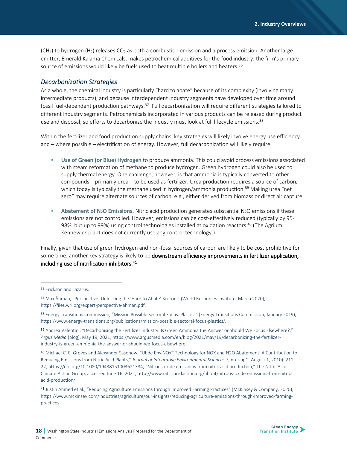$(CH<sub>4</sub>)$  to hydrogen  $(H<sub>2</sub>)$  releases CO<sub>2</sub> as both a combustion emission and a process emission. Another large emitter, Emerald Kalama Chemicals, makes petrochemical additives for the food industry; the firm's primary source of emissions would likely be fuels used to heat multiple boilers and heaters.<sup>36</sup>

#### *Decarbonization Strategies*

As a whole, the chemical industry is particularly "hard to abate" because of its complexity (involving many intermediate products), and because interdependent industry segments have developed over time around fossil fuel-dependent production pathways.<sup>37</sup> Full decarbonization will require different strategies tailored to different industry segments. Petrochemicals incorporated in various products can be released during product use and disposal, so efforts to decarbonize the industry must look at full lifecycle emissions.<sup>38</sup>

Within the fertilizer and food production supply chains, key strategies will likely involve energy use efficiency and – where possible – electrification of energy. However, full decarbonization will likely require:

- **Use of Green (or Blue) Hydrogen** to produce ammonia. This could avoid process emissions associated with steam reformation of methane to produce hydrogen. Green hydrogen could also be used to supply thermal energy. One challenge, however, is that ammonia is typically converted to other compounds – primarily urea – to be used as fertilizer. Urea production requires a source of carbon, which today is typically the methane used in hydrogen/ammonia production.**<sup>39</sup>** Making urea "net zero" may require alternate sources of carbon, e.g., either derived from biomass or direct air capture.
- **Abatement of N<sub>2</sub>O Emissions.** Nitric acid production generates substantial N<sub>2</sub>O emissions if these emissions are not controlled. However, emissions can be cost-effectively reduced (typically by 95- 98%, but up to 99%) using control technologies installed at oxidation reactors.**<sup>40</sup>** (The Agrium Kennewick plant does not currently use any control technology.)

Finally, given that use of green hydrogen and non-fossil sources of carbon are likely to be cost prohibitive for some time, another key strategy is likely to be downstream efficiency improvements in fertilizer application, including use of nitrification inhibitors. 41



<sup>36</sup> Erickson and Lazarus.

<sup>37</sup> Max Åhman, "Perspective: Unlocking the 'Hard to Abate' Sectors" (World Resources Institute, March 2020), https://files.wri.org/expert-perspective-ahman.pdf.

<sup>38</sup> Energy Transitions Commission, "Mission Possible Sectoral Focus: Plastics" (Energy Transitions Commission, January 2019), https://www.energy-transitions.org/publications/mission-possible-sectoral-focus-plastics/.

<sup>39</sup> Andrea Valentini, "Decarbonising the Fertilizer Industry: Is Green Ammonia the Answer or Should We Focus Elsewhere?," *Argus Media* (blog), May 19, 2021, https://www.argusmedia.com/en/blog/2021/may/19/decarbonizing-the-fertilizerindustry-is-green-ammonia-the-answer-or-should-we-focus-elsewhere.

<sup>40</sup> Michael C. E. Groves and Alexander Sasonow, "Uhde EnviNOx® Technology for NOX and N2O Abatement: A Contribution to Reducing Emissions from Nitric Acid Plants," *Journal of Integrative Environmental Sciences* 7, no. sup1 (August 1, 2010): 211– 22, https://doi.org/10.1080/19438151003621334; "Nitrous oxide emissions from nitric acid production," The Nitric Acid Climate Action Group, accessed June 16, 2021, http://www.nitricacidaction.org/about/nitrous-oxide-emissions-from-nitricacid-production/.

<sup>41</sup> Justin Ahmed et al., "Reducing Agriculture Emissions through Improved Farming Practices" (McKinsey & Company, 2020), https://www.mckinsey.com/industries/agriculture/our-insights/reducing-agriculture-emissions-through-improved-farmingpractices.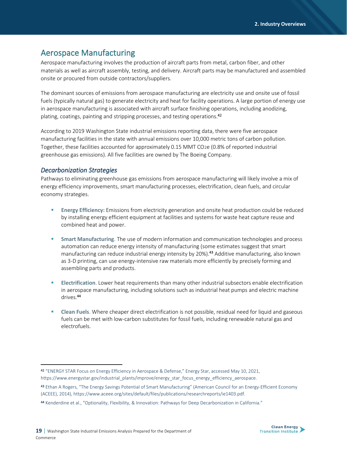### Aerospace Manufacturing

Aerospace manufacturing involves the production of aircraft parts from metal, carbon fiber, and other materials as well as aircraft assembly, testing, and delivery. Aircraft parts may be manufactured and assembled onsite or procured from outside contractors/suppliers.

The dominant sources of emissions from aerospace manufacturing are electricity use and onsite use of fossil fuels (typically natural gas) to generate electricity and heat for facility operations. A large portion of energy use in aerospace manufacturing is associated with aircraft surface finishing operations, including anodizing, plating, coatings, painting and stripping processes, and testing operations.<sup>42</sup>

According to 2019 Washington State industrial emissions reporting data, there were five aerospace manufacturing facilities in the state with annual emissions over 10,000 metric tons of carbon pollution. Together, these facilities accounted for approximately 0.15 MMT CO2e (0.8% of reported industrial greenhouse gas emissions). All five facilities are owned by The Boeing Company.

#### *Decarbonization Strategies*

Pathways to eliminating greenhouse gas emissions from aerospace manufacturing will likely involve a mix of energy efficiency improvements, smart manufacturing processes, electrification, clean fuels, and circular economy strategies.

- **Energy Efficiency:** Emissions from electricity generation and onsite heat production could be reduced by installing energy efficient equipment at facilities and systems for waste heat capture reuse and combined heat and power.
- **EXECT** Smart Manufacturing. The use of modern information and communication technologies and process automation can reduce energy intensity of manufacturing (some estimates suggest that smart manufacturing can reduce industrial energy intensity by 20%).**<sup>43</sup>** Additive manufacturing, also known as 3-D printing, can use energy-intensive raw materials more efficiently by precisely forming and assembling parts and products.
- **Electrification**. Lower heat requirements than many other industrial subsectors enable electrification in aerospace manufacturing, including solutions such as industrial heat pumps and electric machine drives.**<sup>44</sup>**
- **EXECLEAN FUELS.** Where cheaper direct electrification is not possible, residual need for liquid and gaseous fuels can be met with low-carbon substitutes for fossil fuels, including renewable natural gas and electrofuels.



<sup>42</sup> "ENERGY STAR Focus on Energy Efficiency in Aerospace & Defense," Energy Star, accessed May 10, 2021, https://www.energystar.gov/industrial\_plants/improve/energy\_star\_focus\_energy\_efficiency\_aerospace.

<sup>43</sup> Ethan A Rogers, "The Energy Savings Potential of Smart Manufacturing" (American Council for an Energy-Efficient Economy (ACEEE), 2014), https://www.aceee.org/sites/default/files/publications/researchreports/ie1403.pdf.

<sup>44</sup> Kenderdine et al., "Optionality, Flexibility, & Innovation: Pathways for Deep Decarbonization in California."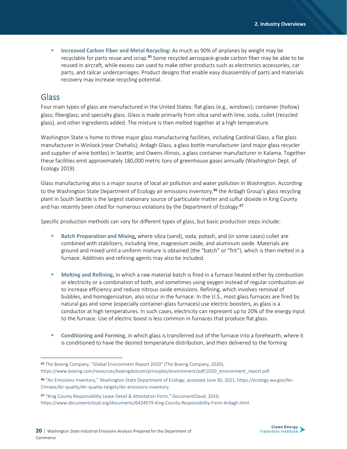▪ **Increased Carbon Fiber and Metal Recycling:** As much as 90% of airplanes by weight may be recyclable for parts reuse and scrap.**<sup>45</sup>** Some recycled aerospace-grade carbon fiber may be able to be reused in aircraft, while excess can used to make other products such as electronics accessories, car parts, and railcar undercarriages. Product designs that enable easy disassembly of parts and materials recovery may increase recycling potential.

### Glass

Four main types of glass are manufactured in the United States: flat glass (e.g., windows); container (hollow) glass; fiberglass; and specialty glass. Glass is made primarily from silica sand with lime, soda, cullet (recycled glass), and other ingredients added. The mixture is then melted together at a high temperature.

Washington State is home to three major glass manufacturing facilities, including Cardinal Glass, a flat glass manufacturer in Winlock (near Chehalis); Ardagh Glass, a glass bottle manufacturer (and major glass recycler and supplier of wine bottles) in Seattle; and Owens-Illinois, a glass container manufacturer in Kalama. Together these facilities emit approximately 180,000 metric tons of greenhouse gases annually (Washington Dept. of Ecology 2019).

Glass manufacturing also is a major source of local air pollution and water pollution in Washington. According to the Washington State Department of Ecology air emissions inventory,<sup>46</sup> the Ardagh Group's glass recycling plant in South Seattle is the largest stationary source of particulate matter and sulfur dioxide in King County and has recently been cited for numerous violations by the Department of Ecology.<sup>47</sup>

Specific production methods can vary for different types of glass, but basic production steps include:

- **Batch Preparation and Mixing, where silica (sand), soda, potash, and (in some cases) cullet are** combined with stabilizers, including lime, magnesium oxide, and aluminum oxide. Materials are ground and mixed until a uniform mixture is obtained (the "batch" or "frit"), which is then melted in a furnace. Additives and refining agents may also be included.
- **Melting and Refining, in which a raw material batch is fired in a furnace heated either by combustion** or electricity or a combination of both, and sometimes using oxygen instead of regular combustion air to increase efficiency and reduce nitrous oxide emissions. Refining, which involves removal of bubbles, and homogenization, also occur in the furnace. In the U.S., most glass furnaces are fired by natural gas and some (especially container-glass furnaces) use electric boosters, as glass is a conductor at high temperatures. In such cases, electricity can represent up to 20% of the energy input to the furnace. Use of electric boost is less common in furnaces that produce flat glass.
- **Conditioning and Forming**, in which glass is transferred out of the furnace into a forehearth, where it is conditioned to have the desired temperature distribution, and then delivered to the forming



<sup>45</sup> The Boeing Company, "Global Environment Report 2020" (The Boeing Company, 2020), https://www.boeing.com/resources/boeingdotcom/principles/environment/pdf/2020\_environment\_report.pdf.

<sup>46</sup> "Air Emissions Inventory," Washington State Department of Ecology, accessed June 30, 2021, https://ecology.wa.gov/Air-Climate/Air-quality/Air-quality-targets/Air-emissions-inventory.

<sup>47</sup> "King County Responsibility Lease Detail & Attestation Form," DocumentCloud, 2019, https://www.documentcloud.org/documents/6434979-King-County-Responsibility-Form-Ardagh.html.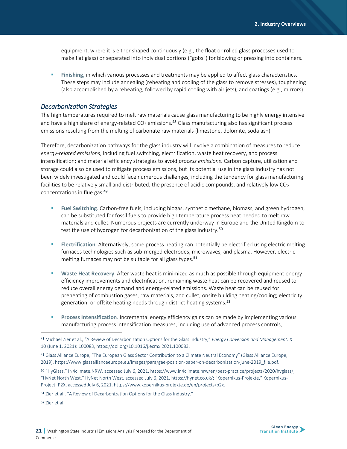equipment, where it is either shaped continuously (e.g., the float or rolled glass processes used to make flat glass) or separated into individual portions ("gobs") for blowing or pressing into containers.

**EXICT:** Finishing, in which various processes and treatments may be applied to affect glass characteristics. These steps may include annealing (reheating and cooling of the glass to remove stresses), toughening (also accomplished by a reheating, followed by rapid cooling with air jets), and coatings (e.g., mirrors).

#### *Decarbonization Strategies*

The high temperatures required to melt raw materials cause glass manufacturing to be highly energy intensive and have a high share of energy-related  $CO<sub>2</sub>$  emissions.<sup>48</sup> Glass manufacturing also has significant process emissions resulting from the melting of carbonate raw materials (limestone, dolomite, soda ash).

Therefore, decarbonization pathways for the glass industry will involve a combination of measures to reduce *energy-related emissions*, including fuel switching, electrification, waste heat recovery, and process intensification; and material efficiency strategies to avoid *process emissions*. Carbon capture, utilization and storage could also be used to mitigate process emissions, but its potential use in the glass industry has not been widely investigated and could face numerous challenges, including the tendency for glass manufacturing facilities to be relatively small and distributed, the presence of acidic compounds, and relatively low  $CO<sub>2</sub>$ concentrations in flue gas.<sup>49</sup>

- **Fuel Switching**. Carbon-free fuels, including biogas, synthetic methane, biomass, and green hydrogen, can be substituted for fossil fuels to provide high temperature process heat needed to melt raw materials and cullet. Numerous projects are currently underway in Europe and the United Kingdom to test the use of hydrogen for decarbonization of the glass industry.<sup>50</sup>
- **Electrification**. Alternatively, some process heating can potentially be electrified using electric melting furnaces technologies such as sub-merged electrodes, microwaves, and plasma. However, electric melting furnaces may not be suitable for all glass types.**<sup>51</sup>**
- **EXECT Waste Heat Recovery.** After waste heat is minimized as much as possible through equipment energy efficiency improvements and electrification, remaining waste heat can be recovered and reused to reduce overall energy demand and energy-related emissions. Waste heat can be reused for preheating of combustion gases, raw materials, and cullet; onsite building heating/cooling; electricity generation; or offsite heating needs through district heating systems.**<sup>52</sup>**
- **Process Intensification**. Incremental energy efficiency gains can be made by implementing various manufacturing process intensification measures, including use of advanced process controls,

<sup>52</sup> Zier et al.



<sup>48</sup> Michael Zier et al., "A Review of Decarbonization Options for the Glass Industry," *Energy Conversion and Management: X* 10 (June 1, 2021): 100083, https://doi.org/10.1016/j.ecmx.2021.100083.

<sup>49</sup> Glass Alliance Europe, "The European Glass Sector Contribution to a Climate Neutral Economy" (Glass Alliance Europe, 2019), https://www.glassallianceeurope.eu/images/para/gae-position-paper-on-decarbonisation-june-2019\_file.pdf.

<sup>50</sup> "HyGlass," IN4climate.NRW, accessed July 6, 2021, https://www.in4climate.nrw/en/best-practice/projects/2020/hyglass/; "HyNet North West," HyNet North West, accessed July 6, 2021, https://hynet.co.uk/; "Kopernikus-Projekte," Kopernikus-Project: P2X, accessed July 6, 2021, https://www.kopernikus-projekte.de/en/projects/p2x.

<sup>51</sup> Zier et al., "A Review of Decarbonization Options for the Glass Industry."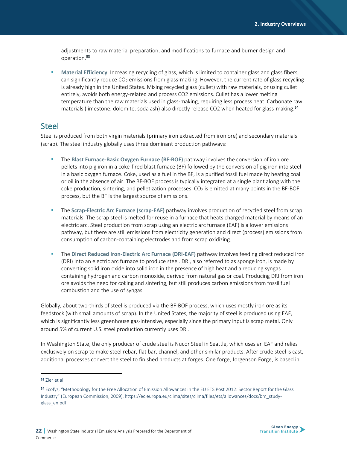adjustments to raw material preparation, and modifications to furnace and burner design and operation.**<sup>53</sup>**

**Material Efficiency**. Increasing recycling of glass, which is limited to container glass and glass fibers, can significantly reduce  $CO<sub>2</sub>$  emissions from glass-making. However, the current rate of glass recycling is already high in the United States. Mixing recycled glass (cullet) with raw materials, or using cullet entirely, avoids both energy-related and process CO2 emissions. Cullet has a lower melting temperature than the raw materials used in glass-making, requiring less process heat. Carbonate raw materials (limestone, dolomite, soda ash) also directly release CO2 when heated for glass-making.**<sup>54</sup>**

### Steel

Steel is produced from both virgin materials (primary iron extracted from iron ore) and secondary materials (scrap). The steel industry globally uses three dominant production pathways:

- **EXECT:** The Blast Furnace-Basic Oxygen Furnace (BF-BOF) pathway involves the conversion of iron ore pellets into pig iron in a coke-fired blast furnace (BF) followed by the conversion of pig iron into steel in a basic oxygen furnace. Coke, used as a fuel in the BF, is a purified fossil fuel made by heating coal or oil in the absence of air. The BF-BOF process is typically integrated at a single plant along with the coke production, sintering, and pelletization processes.  $CO<sub>2</sub>$  is emitted at many points in the BF-BOF process, but the BF is the largest source of emissions.
- **EXPLEM** The **Scrap-Electric Arc Furnace (scrap-EAF)** pathway involves production of recycled steel from scrap materials. The scrap steel is melted for reuse in a furnace that heats charged material by means of an electric arc. Steel production from scrap using an electric arc furnace (EAF) is a lower emissions pathway, but there are still emissions from electricity generation and direct (process) emissions from consumption of carbon-containing electrodes and from scrap oxidizing.
- The Direct Reduced Iron-Electric Arc Furnace (DRI-EAF) pathway involves feeding direct reduced iron (DRI) into an electric arc furnace to produce steel. DRI, also referred to as sponge iron, is made by converting solid iron oxide into solid iron in the presence of high heat and a reducing syngas containing hydrogen and carbon monoxide, derived from natural gas or coal. Producing DRI from iron ore avoids the need for coking and sintering, but still produces carbon emissions from fossil fuel combustion and the use of syngas.

Globally, about two-thirds of steel is produced via the BF-BOF process, which uses mostly iron ore as its feedstock (with small amounts of scrap). In the United States, the majority of steel is produced using EAF, which is significantly less greenhouse gas-intensive, especially since the primary input is scrap metal. Only around 5% of current U.S. steel production currently uses DRI.

In Washington State, the only producer of crude steel is Nucor Steel in Seattle, which uses an EAF and relies exclusively on scrap to make steel rebar, flat bar, channel, and other similar products. After crude steel is cast, additional processes convert the steel to finished products at forges. One forge, Jorgenson Forge, is based in

<sup>53</sup> Zier et al.

<sup>54</sup> Ecofys, "Methodology for the Free Allocation of Emission Allowances in the EU ETS Post 2012: Sector Report for the Glass Industry" (European Commission, 2009), https://ec.europa.eu/clima/sites/clima/files/ets/allowances/docs/bm\_studyglass\_en.pdf.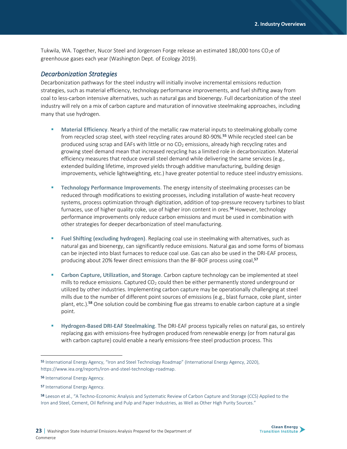Tukwila, WA. Together, Nucor Steel and Jorgensen Forge release an estimated 180,000 tons CO<sub>2</sub>e of greenhouse gases each year (Washington Dept. of Ecology 2019).

#### *Decarbonization Strategies*

Decarbonization pathways for the steel industry will initially involve incremental emissions reduction strategies, such as material efficiency, technology performance improvements, and fuel shifting away from coal to less-carbon intensive alternatives, such as natural gas and bioenergy. Full decarbonization of the steel industry will rely on a mix of carbon capture and maturation of innovative steelmaking approaches, including many that use hydrogen.

- **Material Efficiency.** Nearly a third of the metallic raw material inputs to steelmaking globally come from recycled scrap steel, with steel recycling rates around 80-90%.**<sup>55</sup>** While recycled steel can be produced using scrap and EAFs with little or no  $CO<sub>2</sub>$  emissions, already high recycling rates and growing steel demand mean that increased recycling has a limited role in decarbonization. Material efficiency measures that reduce overall steel demand while delivering the same services (e.g., extended building lifetime, improved yields through additive manufacturing, building design improvements, vehicle lightweighting, etc.) have greater potential to reduce steel industry emissions.
- **Technology Performance Improvements**. The energy intensity of steelmaking processes can be reduced through modifications to existing processes, including installation of waste-heat recovery systems, process optimization through digitization, addition of top-pressure recovery turbines to blast furnaces, use of higher quality coke, use of higher iron content in ores.**<sup>56</sup>** However, technology performance improvements only reduce carbon emissions and must be used in combination with other strategies for deeper decarbonization of steel manufacturing.
- **Fuel Shifting (excluding hydrogen)**. Replacing coal use in steelmaking with alternatives, such as natural gas and bioenergy, can significantly reduce emissions. Natural gas and some forms of biomass can be injected into blast furnaces to reduce coal use. Gas can also be used in the DRI-EAF process, producing about 20% fewer direct emissions than the BF-BOF process using coal. **57**
- **Carbon Capture, Utilization, and Storage**. Carbon capture technology can be implemented at steel mills to reduce emissions. Captured  $CO<sub>2</sub>$  could then be either permanently stored underground or utilized by other industries. Implementing carbon capture may be operationally challenging at steel mills due to the number of different point sources of emissions (e.g., blast furnace, coke plant, sinter plant, etc.).**<sup>58</sup>** One solution could be combining flue gas streams to enable carbon capture at a single point.
- **Hydrogen-Based DRI-EAF Steelmaking**. The DRI-EAF process typically relies on natural gas, so entirely replacing gas with emissions-free hydrogen produced from renewable energy (or from natural gas with carbon capture) could enable a nearly emissions-free steel production process. This



<sup>55</sup> International Energy Agency, "Iron and Steel Technology Roadmap" (International Energy Agency, 2020), https://www.iea.org/reports/iron-and-steel-technology-roadmap.

<sup>56</sup> International Energy Agency.

<sup>57</sup> International Energy Agency.

<sup>58</sup> Leeson et al., "A Techno-Economic Analysis and Systematic Review of Carbon Capture and Storage (CCS) Applied to the Iron and Steel, Cement, Oil Refining and Pulp and Paper Industries, as Well as Other High Purity Sources."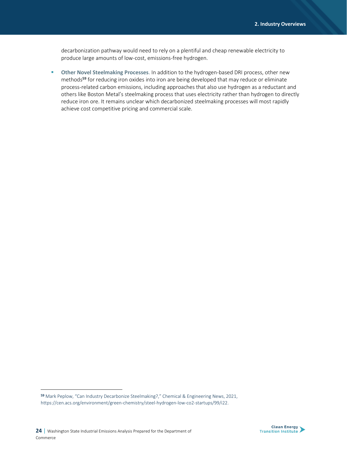decarbonization pathway would need to rely on a plentiful and cheap renewable electricity to produce large amounts of low-cost, emissions-free hydrogen.

▪ **Other Novel Steelmaking Processes**. In addition to the hydrogen-based DRI process, other new methods**<sup>59</sup>** for reducing iron oxides into iron are being developed that may reduce or eliminate process-related carbon emissions, including approaches that also use hydrogen as a reductant and others like Boston Metal's steelmaking process that uses electricity rather than hydrogen to directly reduce iron ore. It remains unclear which decarbonized steelmaking processes will most rapidly achieve cost competitive pricing and commercial scale.



<sup>59</sup> Mark Peplow, "Can Industry Decarbonize Steelmaking?," Chemical & Engineering News, 2021, https://cen.acs.org/environment/green-chemistry/steel-hydrogen-low-co2-startups/99/i22.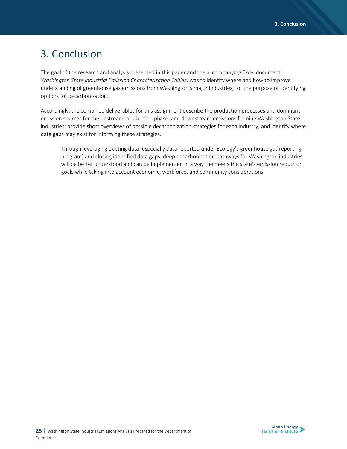# 3. Conclusion

The goal of the research and analysis presented in this paper and the accompanying Excel document, *Washington State Industrial Emission Characterization Tables,* was to identify where and how to improve understanding of greenhouse gas emissions from Washington's major industries, for the purpose of identifying options for decarbonization.

Accordingly, the combined deliverables for this assignment describe the production processes and dominant emission sources for the upstream, production phase, and downstream emissions for nine Washington State industries; provide short overviews of possible decarbonization strategies for each industry; and identify where data gaps may exist for informing these strategies.

Through leveraging existing data (especially data reported under Ecology's greenhouse gas reporting program) and closing identified data gaps, deep decarbonization pathways for Washington industries will be better understood and can be implemented in a way the meets the state's emission reduction goals while taking into account economic, workforce, and community considerations.

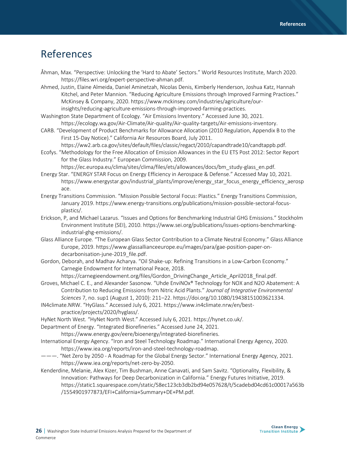# References

- Åhman, Max. "Perspective: Unlocking the 'Hard to Abate' Sectors." World Resources Institute, March 2020. https://files.wri.org/expert-perspective-ahman.pdf.
- Ahmed, Justin, Elaine Almeida, Daniel Aminetzah, Nicolas Denis, Kimberly Henderson, Joshua Katz, Hannah Kitchel, and Peter Mannion. "Reducing Agriculture Emissions through Improved Farming Practices." McKinsey & Company, 2020. https://www.mckinsey.com/industries/agriculture/ourinsights/reducing-agriculture-emissions-through-improved-farming-practices.
- Washington State Department of Ecology. "Air Emissions Inventory." Accessed June 30, 2021. https://ecology.wa.gov/Air-Climate/Air-quality/Air-quality-targets/Air-emissions-inventory.
- CARB. "Development of Product Benchmarks for Allowance Allocation (2010 Regulation, Appendix B to the First 15-Day Notice)." California Air Resources Board, July 2011.
- https://ww2.arb.ca.gov/sites/default/files/classic/regact/2010/capandtrade10/candtappb.pdf. Ecofys. "Methodology for the Free Allocation of Emission Allowances in the EU ETS Post 2012: Sector Report
- for the Glass Industry." European Commission, 2009. https://ec.europa.eu/clima/sites/clima/files/ets/allowances/docs/bm\_study-glass\_en.pdf.
- Energy Star. "ENERGY STAR Focus on Energy Efficiency in Aerospace & Defense." Accessed May 10, 2021. https://www.energystar.gov/industrial\_plants/improve/energy\_star\_focus\_energy\_efficiency\_aerosp ace.
- Energy Transitions Commission. "Mission Possible Sectoral Focus: Plastics." Energy Transitions Commission, January 2019. https://www.energy-transitions.org/publications/mission-possible-sectoral-focusplastics/.
- Erickson, P, and Michael Lazarus. "Issues and Options for Benchmarking Industrial GHG Emissions." Stockholm Environment Institute (SEI), 2010. https://www.sei.org/publications/issues-options-benchmarkingindustrial-ghg-emissions/.
- Glass Alliance Europe. "The European Glass Sector Contribution to a Climate Neutral Economy." Glass Alliance Europe, 2019. https://www.glassallianceeurope.eu/images/para/gae-position-paper-ondecarbonisation-june-2019 file.pdf.
- Gordon, Deborah, and Madhav Acharya. "Oil Shake-up: Refining Transitions in a Low-Carbon Economy." Carnegie Endowment for International Peace, 2018.

https://carnegieendowment.org/files/Gordon\_DrivingChange\_Article\_April2018\_final.pdf.

- Groves, Michael C. E., and Alexander Sasonow. "Uhde EnviNOx® Technology for NOX and N2O Abatement: A Contribution to Reducing Emissions from Nitric Acid Plants." *Journal of Integrative Environmental Sciences* 7, no. sup1 (August 1, 2010): 211–22. https://doi.org/10.1080/19438151003621334.
- IN4climate.NRW. "HyGlass." Accessed July 6, 2021. https://www.in4climate.nrw/en/bestpractice/projects/2020/hyglass/.
- HyNet North West. "HyNet North West." Accessed July 6, 2021. https://hynet.co.uk/.
- Department of Energy. "Integrated Biorefineries." Accessed June 24, 2021.
	- https://www.energy.gov/eere/bioenergy/integrated-biorefineries.
- International Energy Agency. "Iron and Steel Technology Roadmap." International Energy Agency, 2020. https://www.iea.org/reports/iron-and-steel-technology-roadmap.
- ———. "Net Zero by 2050 A Roadmap for the Global Energy Sector." International Energy Agency, 2021. https://www.iea.org/reports/net-zero-by-2050.
- Kenderdine, Melanie, Alex Kizer, Tim Bushman, Anne Canavati, and Sam Savitz. "Optionality, Flexibility, & Innovation: Pathways for Deep Decarbonization in California." Energy Futures Initiative, 2019. https://static1.squarespace.com/static/58ec123cb3db2bd94e057628/t/5cadebd04cd61c00017a563b /1554901977873/EFI+California+Summary+DE+PM.pdf.

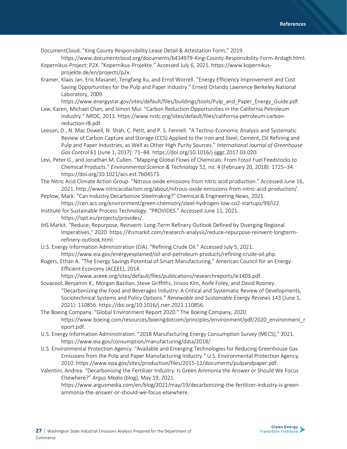DocumentCloud. "King County Responsibility Lease Detail & Attestation Form," 2019.

https://www.documentcloud.org/documents/6434979-King-County-Responsibility-Form-Ardagh.html. Kopernikus-Project: P2X. "Kopernikus-Projekte." Accessed July 6, 2021. https://www.kopernikus-

Kramer, Klaas Jan, Eric Masanet, Tengfang Xu, and Ernst Worrell. "Energy Efficiency Improvement and Cost Saving Opportunities for the Pulp and Paper Industry." Ernest Orlando Lawrence Berkeley National Laboratory, 2009.

https://www.energystar.gov/sites/default/files/buildings/tools/Pulp\_and\_Paper\_Energy\_Guide.pdf.

- Law, Karen, Michael Chan, and Simon Mui. "Carbon Reduction Opportunities in the California Petroleum Industry." NRDC, 2013. https://www.nrdc.org/sites/default/files/california-petroleum-carbonreduction-IB.pdf.
- Leeson, D., N. Mac Dowell, N. Shah, C. Petit, and P. S. Fennell. "A Techno-Economic Analysis and Systematic Review of Carbon Capture and Storage (CCS) Applied to the Iron and Steel, Cement, Oil Refining and Pulp and Paper Industries, as Well as Other High Purity Sources." *International Journal of Greenhouse Gas Control* 61 (June 1, 2017): 71–84. https://doi.org/10.1016/j.ijggc.2017.03.020.
- Levi, Peter G., and Jonathan M. Cullen. "Mapping Global Flows of Chemicals: From Fossil Fuel Feedstocks to Chemical Products." *Environmental Science & Technology* 52, no. 4 (February 20, 2018): 1725–34. https://doi.org/10.1021/acs.est.7b04573.
- The Nitric Acid Climate Action Group. "Nitrous oxide emissions from nitric acid production." Accessed June 16, 2021. http://www.nitricacidaction.org/about/nitrous-oxide-emissions-from-nitric-acid-production/.
- Peplow, Mark. "Can Industry Decarbonize Steelmaking?" Chemical & Engineering News, 2021. https://cen.acs.org/environment/green-chemistry/steel-hydrogen-low-co2-startups/99/i22.
- Institute for Sustainable Process Technology. "PROVIDES." Accessed June 11, 2021. https://ispt.eu/projects/provides/.
- IHS Markit. "Reduce, Repurpose, Reinvent: Long-Term Refinery Outlook Defined by Diverging Regional Imperatives," 2020. https://ihsmarkit.com/research-analysis/reduce-repurpose-reinvent-longtermrefinery-outlook.html.
- U.S. Energy Information Administration (EIA). "Refining Crude Oil." Accessed July 5, 2021. https://www.eia.gov/energyexplained/oil-and-petroleum-products/refining-crude-oil.php.
- Rogers, Ethan A. "The Energy Savings Potential of Smart Manufacturing." American Council for an Energy-Efficient Economy (ACEEE), 2014.

https://www.aceee.org/sites/default/files/publications/researchreports/ie1403.pdf.

- Sovacool, Benjamin K., Morgan Bazilian, Steve Griffiths, Jinsoo Kim, Aoife Foley, and David Rooney. "Decarbonizing the Food and Beverages Industry: A Critical and Systematic Review of Developments, Sociotechnical Systems and Policy Options." *Renewable and Sustainable Energy Reviews* 143 (June 1, 2021): 110856. https://doi.org/10.1016/j.rser.2021.110856.
- The Boeing Company. "Global Environment Report 2020." The Boeing Company, 2020. https://www.boeing.com/resources/boeingdotcom/principles/environment/pdf/2020\_environment\_r eport.pdf.
- U.S. Energy Information Administration. "2018 Manufacturing Energy Consumption Survey (MECS)," 2021. https://www.eia.gov/consumption/manufacturing/data/2018/.
- U.S. Environmental Protection Agency. "Available and Emerging Technologies for Reducing Greenhouse Gas Emissions from the Pulp and Paper Manufacturing Industry." U.S. Environmental Protection Agency, 2010. https://www.epa.gov/sites/production/files/2015-12/documents/pulpandpaper.pdf.
- Valentini, Andrea. "Decarbonising the Fertilizer Industry: Is Green Ammonia the Answer or Should We Focus Elsewhere?" *Argus Media* (blog), May 19, 2021.

https://www.argusmedia.com/en/blog/2021/may/19/decarbonizing-the-fertilizer-industry-is-greenammonia-the-answer-or-should-we-focus-elsewhere.



projekte.de/en/projects/p2x.